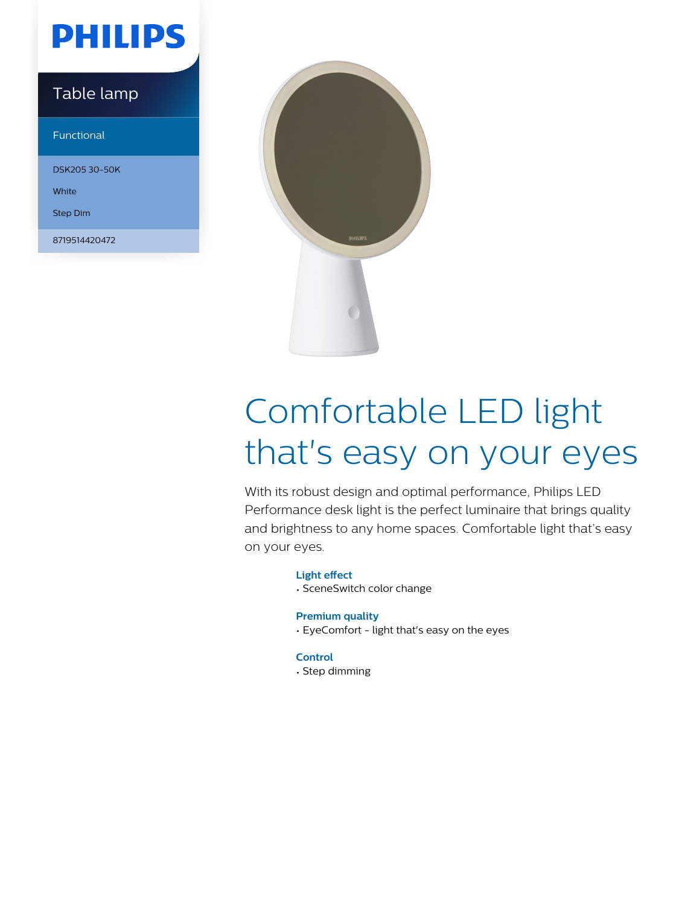## **PHILIPS**

### Table lamp

Functional

DSK205 30-50K

**White** 

Step Dim

8719514420472



# Comfortable LED light that's easy on your eyes

With its robust design and optimal performance, Philips LED Performance desk light is the perfect luminaire that brings quality and brightness to any home spaces. Comfortable light that's easy on your eyes.

### **Light effect**

• SceneSwitch color change

### **Premium quality**

• EyeComfort - light that's easy on the eyes

### **Control**

• Step dimming